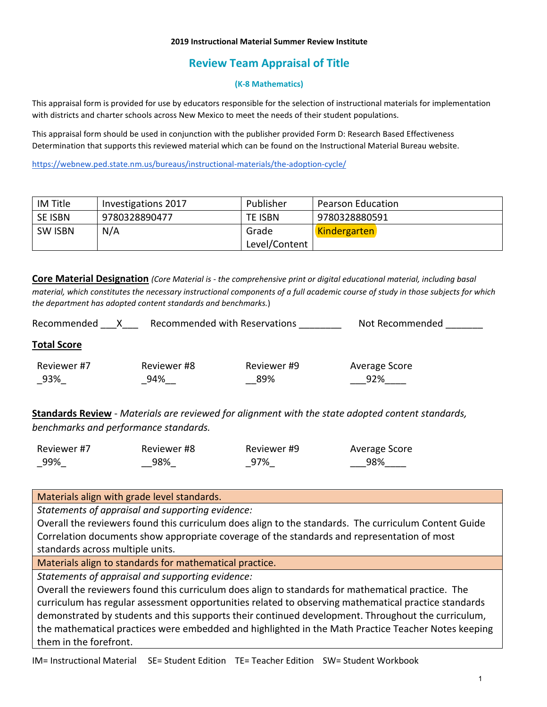# **Review Team Appraisal of Title**

### **(K-8 Mathematics)**

This appraisal form is provided for use by educators responsible for the selection of instructional materials for implementation with districts and charter schools across New Mexico to meet the needs of their student populations.

This appraisal form should be used in conjunction with the publisher provided Form D: Research Based Effectiveness Determination that supports this reviewed material which can be found on the Instructional Material Bureau website.

<https://webnew.ped.state.nm.us/bureaus/instructional-materials/the-adoption-cycle/>

| IM Title       | Investigations 2017 | Publisher     | <b>Pearson Education</b> |
|----------------|---------------------|---------------|--------------------------|
| SE ISBN        | 9780328890477       | TE ISBN       | 9780328880591            |
| <b>SW ISBN</b> | N/A                 | Grade         | <b>Kindergarten</b>      |
|                |                     | Level/Content |                          |

**Core Material Designation** *(Core Material is - the comprehensive print or digital educational material, including basal material, which constitutes the necessary instructional components of a full academic course of study in those subjects for which the department has adopted content standards and benchmarks.*)

| Recommended        | Recommended with Reservations |                    | Not Recommended      |
|--------------------|-------------------------------|--------------------|----------------------|
| <b>Total Score</b> |                               |                    |                      |
| Reviewer #7<br>93% | Reviewer #8<br>94%            | Reviewer #9<br>89% | Average Score<br>92% |

**Standards Review** - *Materials are reviewed for alignment with the state adopted content standards, benchmarks and performance standards.*

| Reviewer #7 | Reviewer #8 | Reviewer #9 | Average Score |
|-------------|-------------|-------------|---------------|
| 99%         | 98%         | 97%         | 98%           |

Materials align with grade level standards.

*Statements of appraisal and supporting evidence:*

Overall the reviewers found this curriculum does align to the standards. The curriculum Content Guide Correlation documents show appropriate coverage of the standards and representation of most standards across multiple units.

Materials align to standards for mathematical practice.

*Statements of appraisal and supporting evidence:*

Overall the reviewers found this curriculum does align to standards for mathematical practice. The curriculum has regular assessment opportunities related to observing mathematical practice standards demonstrated by students and this supports their continued development. Throughout the curriculum, the mathematical practices were embedded and highlighted in the Math Practice Teacher Notes keeping them in the forefront.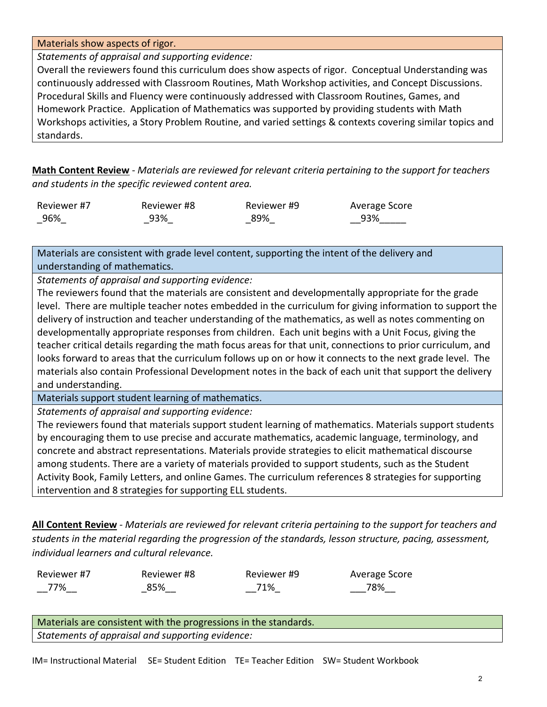### Materials show aspects of rigor.

*Statements of appraisal and supporting evidence:*

Overall the reviewers found this curriculum does show aspects of rigor. Conceptual Understanding was continuously addressed with Classroom Routines, Math Workshop activities, and Concept Discussions. Procedural Skills and Fluency were continuously addressed with Classroom Routines, Games, and Homework Practice. Application of Mathematics was supported by providing students with Math Workshops activities, a Story Problem Routine, and varied settings & contexts covering similar topics and standards.

**Math Content Review** - *Materials are reviewed for relevant criteria pertaining to the support for teachers and students in the specific reviewed content area.*

| Reviewer #7 | Reviewer #8 | Reviewer #9 | Average Score |
|-------------|-------------|-------------|---------------|
| _96%        | 93%         | 89%         | 93%           |

Materials are consistent with grade level content, supporting the intent of the delivery and understanding of mathematics.

*Statements of appraisal and supporting evidence:*

The reviewers found that the materials are consistent and developmentally appropriate for the grade level. There are multiple teacher notes embedded in the curriculum for giving information to support the delivery of instruction and teacher understanding of the mathematics, as well as notes commenting on developmentally appropriate responses from children. Each unit begins with a Unit Focus, giving the teacher critical details regarding the math focus areas for that unit, connections to prior curriculum, and looks forward to areas that the curriculum follows up on or how it connects to the next grade level. The materials also contain Professional Development notes in the back of each unit that support the delivery and understanding.

Materials support student learning of mathematics.

*Statements of appraisal and supporting evidence:*

The reviewers found that materials support student learning of mathematics. Materials support students by encouraging them to use precise and accurate mathematics, academic language, terminology, and concrete and abstract representations. Materials provide strategies to elicit mathematical discourse among students. There are a variety of materials provided to support students, such as the Student Activity Book, Family Letters, and online Games. The curriculum references 8 strategies for supporting intervention and 8 strategies for supporting ELL students.

**All Content Review** - *Materials are reviewed for relevant criteria pertaining to the support for teachers and students in the material regarding the progression of the standards, lesson structure, pacing, assessment, individual learners and cultural relevance.*

| Reviewer #7 | Reviewer #8 | Reviewer #9 | Average Score |
|-------------|-------------|-------------|---------------|
| 77%         | 85%         | 71%         | 78%           |

Materials are consistent with the progressions in the standards. *Statements of appraisal and supporting evidence:*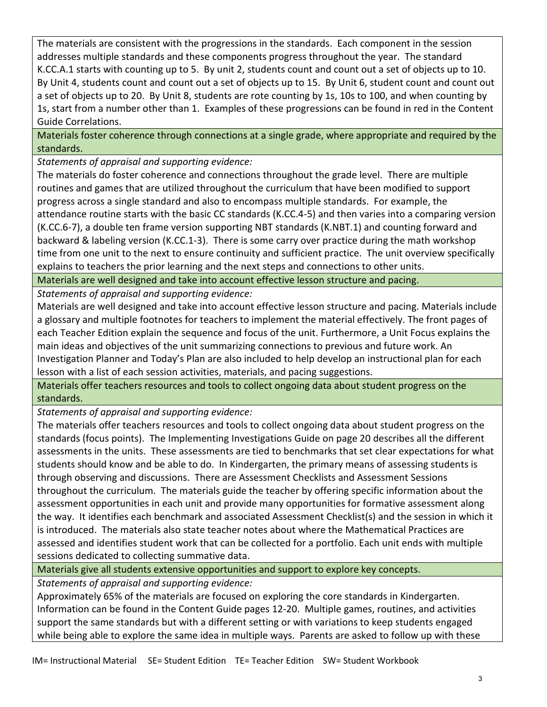The materials are consistent with the progressions in the standards. Each component in the session addresses multiple standards and these components progress throughout the year. The standard K.CC.A.1 starts with counting up to 5. By unit 2, students count and count out a set of objects up to 10. By Unit 4, students count and count out a set of objects up to 15. By Unit 6, student count and count out a set of objects up to 20. By Unit 8, students are rote counting by 1s, 10s to 100, and when counting by 1s, start from a number other than 1. Examples of these progressions can be found in red in the Content Guide Correlations.

Materials foster coherence through connections at a single grade, where appropriate and required by the standards.

*Statements of appraisal and supporting evidence:*

The materials do foster coherence and connections throughout the grade level. There are multiple routines and games that are utilized throughout the curriculum that have been modified to support progress across a single standard and also to encompass multiple standards. For example, the attendance routine starts with the basic CC standards (K.CC.4-5) and then varies into a comparing version (K.CC.6-7), a double ten frame version supporting NBT standards (K.NBT.1) and counting forward and backward & labeling version (K.CC.1-3). There is some carry over practice during the math workshop time from one unit to the next to ensure continuity and sufficient practice. The unit overview specifically explains to teachers the prior learning and the next steps and connections to other units.

Materials are well designed and take into account effective lesson structure and pacing.

*Statements of appraisal and supporting evidence:*

Materials are well designed and take into account effective lesson structure and pacing. Materials include a glossary and multiple footnotes for teachers to implement the material effectively. The front pages of each Teacher Edition explain the sequence and focus of the unit. Furthermore, a Unit Focus explains the main ideas and objectives of the unit summarizing connections to previous and future work. An Investigation Planner and Today's Plan are also included to help develop an instructional plan for each lesson with a list of each session activities, materials, and pacing suggestions.

Materials offer teachers resources and tools to collect ongoing data about student progress on the standards.

*Statements of appraisal and supporting evidence:*

The materials offer teachers resources and tools to collect ongoing data about student progress on the standards (focus points). The Implementing Investigations Guide on page 20 describes all the different assessments in the units. These assessments are tied to benchmarks that set clear expectations for what students should know and be able to do. In Kindergarten, the primary means of assessing students is through observing and discussions. There are Assessment Checklists and Assessment Sessions throughout the curriculum. The materials guide the teacher by offering specific information about the assessment opportunities in each unit and provide many opportunities for formative assessment along the way. It identifies each benchmark and associated Assessment Checklist(s) and the session in which it is introduced. The materials also state teacher notes about where the Mathematical Practices are assessed and identifies student work that can be collected for a portfolio. Each unit ends with multiple sessions dedicated to collecting summative data.

Materials give all students extensive opportunities and support to explore key concepts.

*Statements of appraisal and supporting evidence:*

Approximately 65% of the materials are focused on exploring the core standards in Kindergarten. Information can be found in the Content Guide pages 12-20. Multiple games, routines, and activities support the same standards but with a different setting or with variations to keep students engaged while being able to explore the same idea in multiple ways. Parents are asked to follow up with these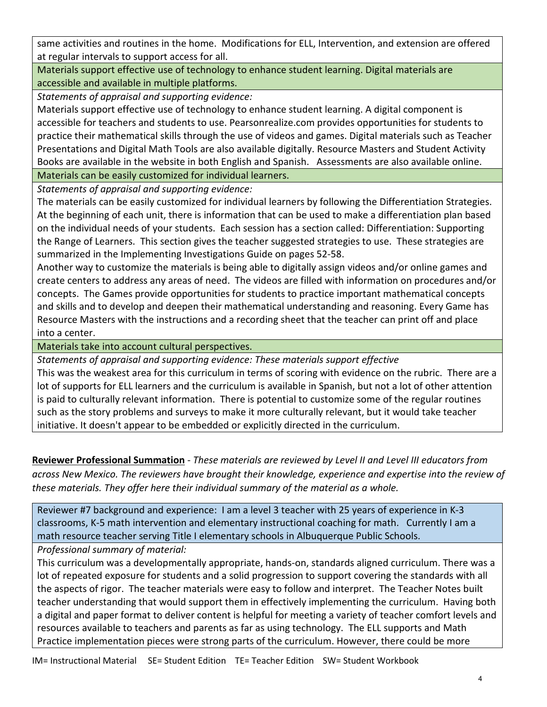same activities and routines in the home. Modifications for ELL, Intervention, and extension are offered at regular intervals to support access for all.

Materials support effective use of technology to enhance student learning. Digital materials are accessible and available in multiple platforms.

*Statements of appraisal and supporting evidence:*

Materials support effective use of technology to enhance student learning. A digital component is accessible for teachers and students to use. Pearsonrealize.com provides opportunities for students to practice their mathematical skills through the use of videos and games. Digital materials such as Teacher Presentations and Digital Math Tools are also available digitally. Resource Masters and Student Activity Books are available in the website in both English and Spanish. Assessments are also available online. Materials can be easily customized for individual learners.

*Statements of appraisal and supporting evidence:*

The materials can be easily customized for individual learners by following the Differentiation Strategies. At the beginning of each unit, there is information that can be used to make a differentiation plan based on the individual needs of your students. Each session has a section called: Differentiation: Supporting the Range of Learners. This section gives the teacher suggested strategies to use. These strategies are summarized in the Implementing Investigations Guide on pages 52-58.

Another way to customize the materials is being able to digitally assign videos and/or online games and create centers to address any areas of need. The videos are filled with information on procedures and/or concepts. The Games provide opportunities for students to practice important mathematical concepts and skills and to develop and deepen their mathematical understanding and reasoning. Every Game has Resource Masters with the instructions and a recording sheet that the teacher can print off and place into a center.

Materials take into account cultural perspectives.

*Statements of appraisal and supporting evidence: These materials support effective* 

This was the weakest area for this curriculum in terms of scoring with evidence on the rubric. There are a lot of supports for ELL learners and the curriculum is available in Spanish, but not a lot of other attention is paid to culturally relevant information. There is potential to customize some of the regular routines such as the story problems and surveys to make it more culturally relevant, but it would take teacher initiative. It doesn't appear to be embedded or explicitly directed in the curriculum.

**Reviewer Professional Summation** - *These materials are reviewed by Level II and Level III educators from across New Mexico. The reviewers have brought their knowledge, experience and expertise into the review of these materials. They offer here their individual summary of the material as a whole.* 

Reviewer #7 background and experience: I am a level 3 teacher with 25 years of experience in K-3 classrooms, K-5 math intervention and elementary instructional coaching for math. Currently I am a math resource teacher serving Title I elementary schools in Albuquerque Public Schools.

*Professional summary of material:* 

This curriculum was a developmentally appropriate, hands-on, standards aligned curriculum. There was a lot of repeated exposure for students and a solid progression to support covering the standards with all the aspects of rigor. The teacher materials were easy to follow and interpret. The Teacher Notes built teacher understanding that would support them in effectively implementing the curriculum. Having both a digital and paper format to deliver content is helpful for meeting a variety of teacher comfort levels and resources available to teachers and parents as far as using technology. The ELL supports and Math Practice implementation pieces were strong parts of the curriculum. However, there could be more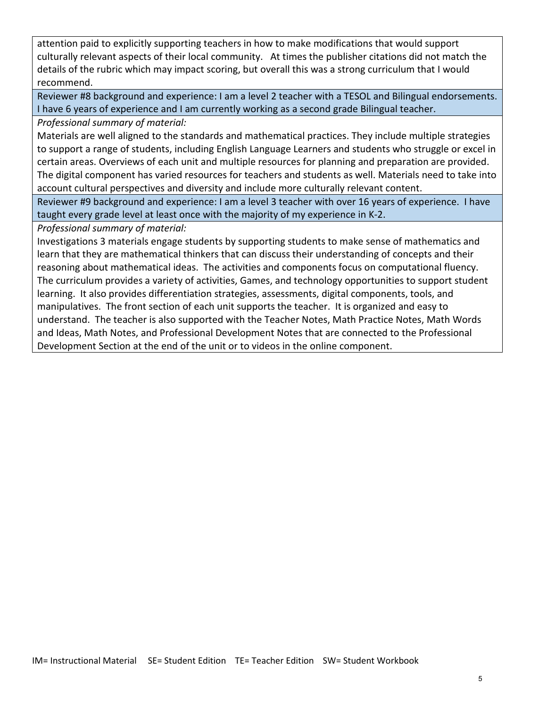attention paid to explicitly supporting teachers in how to make modifications that would support culturally relevant aspects of their local community. At times the publisher citations did not match the details of the rubric which may impact scoring, but overall this was a strong curriculum that I would recommend.

Reviewer #8 background and experience: I am a level 2 teacher with a TESOL and Bilingual endorsements. I have 6 years of experience and I am currently working as a second grade Bilingual teacher.

*Professional summary of material:*

Materials are well aligned to the standards and mathematical practices. They include multiple strategies to support a range of students, including English Language Learners and students who struggle or excel in certain areas. Overviews of each unit and multiple resources for planning and preparation are provided. The digital component has varied resources for teachers and students as well. Materials need to take into account cultural perspectives and diversity and include more culturally relevant content.

Reviewer #9 background and experience: I am a level 3 teacher with over 16 years of experience. I have taught every grade level at least once with the majority of my experience in K-2.

*Professional summary of material:* 

Investigations 3 materials engage students by supporting students to make sense of mathematics and learn that they are mathematical thinkers that can discuss their understanding of concepts and their reasoning about mathematical ideas. The activities and components focus on computational fluency. The curriculum provides a variety of activities, Games, and technology opportunities to support student learning. It also provides differentiation strategies, assessments, digital components, tools, and manipulatives. The front section of each unit supports the teacher. It is organized and easy to understand. The teacher is also supported with the Teacher Notes, Math Practice Notes, Math Words and Ideas, Math Notes, and Professional Development Notes that are connected to the Professional Development Section at the end of the unit or to videos in the online component.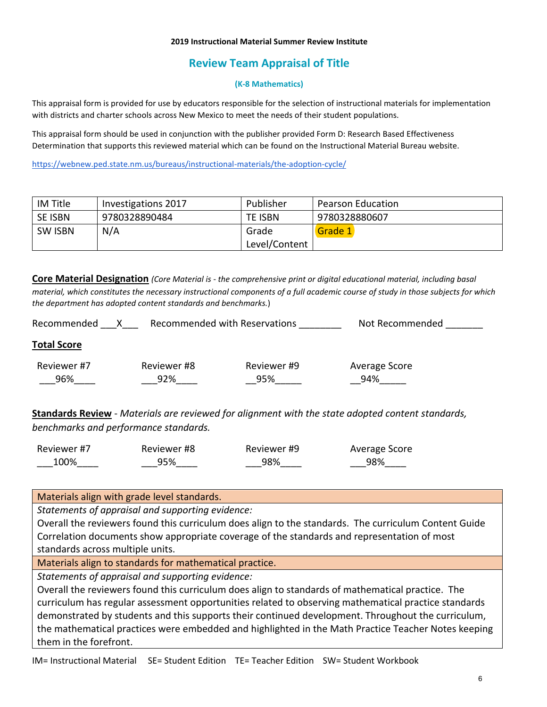# **Review Team Appraisal of Title**

### **(K-8 Mathematics)**

This appraisal form is provided for use by educators responsible for the selection of instructional materials for implementation with districts and charter schools across New Mexico to meet the needs of their student populations.

This appraisal form should be used in conjunction with the publisher provided Form D: Research Based Effectiveness Determination that supports this reviewed material which can be found on the Instructional Material Bureau website.

<https://webnew.ped.state.nm.us/bureaus/instructional-materials/the-adoption-cycle/>

| IM Title       | Investigations 2017 | Publisher      | <b>Pearson Education</b> |
|----------------|---------------------|----------------|--------------------------|
| <b>SE ISBN</b> | 9780328890484       | <b>TE ISBN</b> | 9780328880607            |
| <b>SW ISBN</b> | N/A                 | Grade          | Grade 1                  |
|                |                     | Level/Content  |                          |

**Core Material Designation** *(Core Material is - the comprehensive print or digital educational material, including basal material, which constitutes the necessary instructional components of a full academic course of study in those subjects for which the department has adopted content standards and benchmarks.*)

| Recommended        |                    | Recommended with Reservations | Not Recommended      |
|--------------------|--------------------|-------------------------------|----------------------|
| <b>Total Score</b> |                    |                               |                      |
| Reviewer #7<br>96% | Reviewer #8<br>92% | Reviewer #9<br>95%            | Average Score<br>94% |
|                    |                    |                               |                      |

**Standards Review** - *Materials are reviewed for alignment with the state adopted content standards, benchmarks and performance standards.*

| Reviewer #7 | Reviewer #8 | Reviewer #9 | Average Score |
|-------------|-------------|-------------|---------------|
| 100%        | 95%         | 98%         | 98%           |

Materials align with grade level standards.

*Statements of appraisal and supporting evidence:*

Overall the reviewers found this curriculum does align to the standards. The curriculum Content Guide Correlation documents show appropriate coverage of the standards and representation of most standards across multiple units.

Materials align to standards for mathematical practice.

*Statements of appraisal and supporting evidence:*

Overall the reviewers found this curriculum does align to standards of mathematical practice. The curriculum has regular assessment opportunities related to observing mathematical practice standards demonstrated by students and this supports their continued development. Throughout the curriculum, the mathematical practices were embedded and highlighted in the Math Practice Teacher Notes keeping them in the forefront.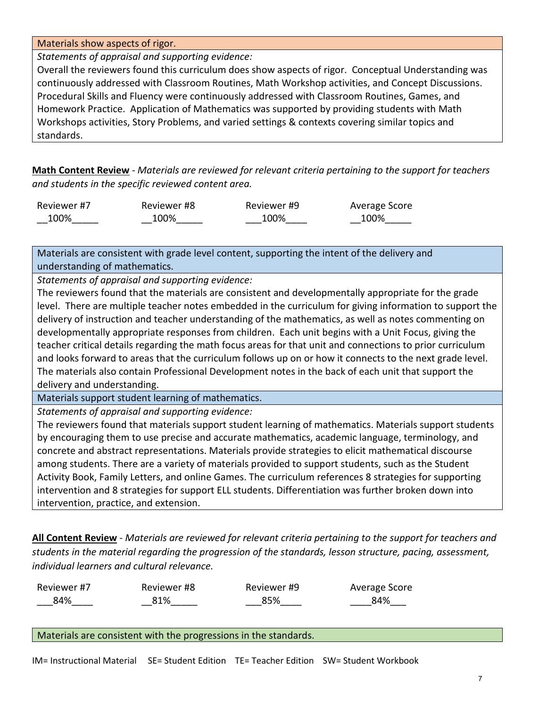### Materials show aspects of rigor.

*Statements of appraisal and supporting evidence:*

Overall the reviewers found this curriculum does show aspects of rigor. Conceptual Understanding was continuously addressed with Classroom Routines, Math Workshop activities, and Concept Discussions. Procedural Skills and Fluency were continuously addressed with Classroom Routines, Games, and Homework Practice. Application of Mathematics was supported by providing students with Math Workshops activities, Story Problems, and varied settings & contexts covering similar topics and standards.

**Math Content Review** - *Materials are reviewed for relevant criteria pertaining to the support for teachers and students in the specific reviewed content area.*

| Reviewer #7 | Reviewer #8 | Reviewer #9 | Average Score |
|-------------|-------------|-------------|---------------|
| 100%        | 100%        | 100%        | 100%          |

Materials are consistent with grade level content, supporting the intent of the delivery and understanding of mathematics.

*Statements of appraisal and supporting evidence:*

The reviewers found that the materials are consistent and developmentally appropriate for the grade level. There are multiple teacher notes embedded in the curriculum for giving information to support the delivery of instruction and teacher understanding of the mathematics, as well as notes commenting on developmentally appropriate responses from children. Each unit begins with a Unit Focus, giving the teacher critical details regarding the math focus areas for that unit and connections to prior curriculum and looks forward to areas that the curriculum follows up on or how it connects to the next grade level. The materials also contain Professional Development notes in the back of each unit that support the delivery and understanding.

Materials support student learning of mathematics.

*Statements of appraisal and supporting evidence:*

The reviewers found that materials support student learning of mathematics. Materials support students by encouraging them to use precise and accurate mathematics, academic language, terminology, and concrete and abstract representations. Materials provide strategies to elicit mathematical discourse among students. There are a variety of materials provided to support students, such as the Student Activity Book, Family Letters, and online Games. The curriculum references 8 strategies for supporting intervention and 8 strategies for support ELL students. Differentiation was further broken down into intervention, practice, and extension.

**All Content Review** - *Materials are reviewed for relevant criteria pertaining to the support for teachers and students in the material regarding the progression of the standards, lesson structure, pacing, assessment, individual learners and cultural relevance.*

| Reviewer #7 | Reviewer #8 | Reviewer #9 | Average Score |
|-------------|-------------|-------------|---------------|
| 84%         | 81%         | 85%         | 84%           |

Materials are consistent with the progressions in the standards.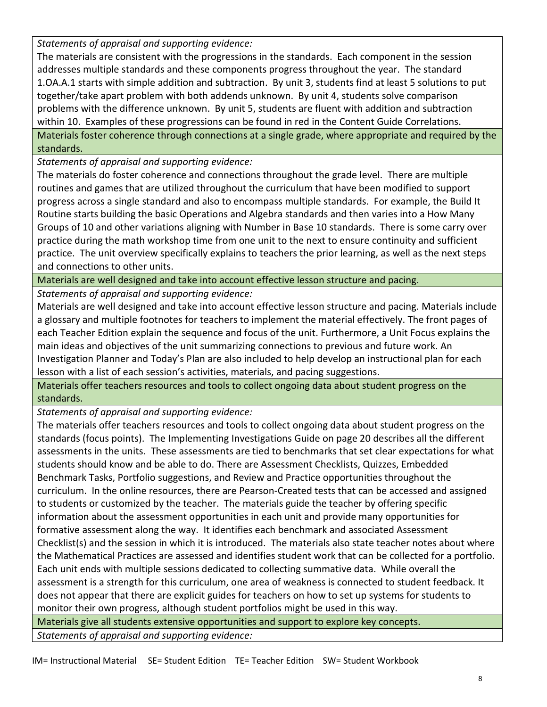*Statements of appraisal and supporting evidence:*

The materials are consistent with the progressions in the standards. Each component in the session addresses multiple standards and these components progress throughout the year. The standard 1.OA.A.1 starts with simple addition and subtraction. By unit 3, students find at least 5 solutions to put together/take apart problem with both addends unknown. By unit 4, students solve comparison problems with the difference unknown. By unit 5, students are fluent with addition and subtraction within 10. Examples of these progressions can be found in red in the Content Guide Correlations. Materials foster coherence through connections at a single grade, where appropriate and required by the standards.

*Statements of appraisal and supporting evidence:*

The materials do foster coherence and connections throughout the grade level. There are multiple routines and games that are utilized throughout the curriculum that have been modified to support progress across a single standard and also to encompass multiple standards. For example, the Build It Routine starts building the basic Operations and Algebra standards and then varies into a How Many Groups of 10 and other variations aligning with Number in Base 10 standards. There is some carry over practice during the math workshop time from one unit to the next to ensure continuity and sufficient practice. The unit overview specifically explains to teachers the prior learning, as well as the next steps and connections to other units.

Materials are well designed and take into account effective lesson structure and pacing.

*Statements of appraisal and supporting evidence:*

Materials are well designed and take into account effective lesson structure and pacing. Materials include a glossary and multiple footnotes for teachers to implement the material effectively. The front pages of each Teacher Edition explain the sequence and focus of the unit. Furthermore, a Unit Focus explains the main ideas and objectives of the unit summarizing connections to previous and future work. An Investigation Planner and Today's Plan are also included to help develop an instructional plan for each lesson with a list of each session's activities, materials, and pacing suggestions.

Materials offer teachers resources and tools to collect ongoing data about student progress on the standards.

*Statements of appraisal and supporting evidence:*

The materials offer teachers resources and tools to collect ongoing data about student progress on the standards (focus points). The Implementing Investigations Guide on page 20 describes all the different assessments in the units. These assessments are tied to benchmarks that set clear expectations for what students should know and be able to do. There are Assessment Checklists, Quizzes, Embedded Benchmark Tasks, Portfolio suggestions, and Review and Practice opportunities throughout the curriculum. In the online resources, there are Pearson-Created tests that can be accessed and assigned to students or customized by the teacher. The materials guide the teacher by offering specific information about the assessment opportunities in each unit and provide many opportunities for formative assessment along the way. It identifies each benchmark and associated Assessment Checklist(s) and the session in which it is introduced. The materials also state teacher notes about where the Mathematical Practices are assessed and identifies student work that can be collected for a portfolio. Each unit ends with multiple sessions dedicated to collecting summative data. While overall the assessment is a strength for this curriculum, one area of weakness is connected to student feedback. It does not appear that there are explicit guides for teachers on how to set up systems for students to monitor their own progress, although student portfolios might be used in this way.

Materials give all students extensive opportunities and support to explore key concepts.

*Statements of appraisal and supporting evidence:*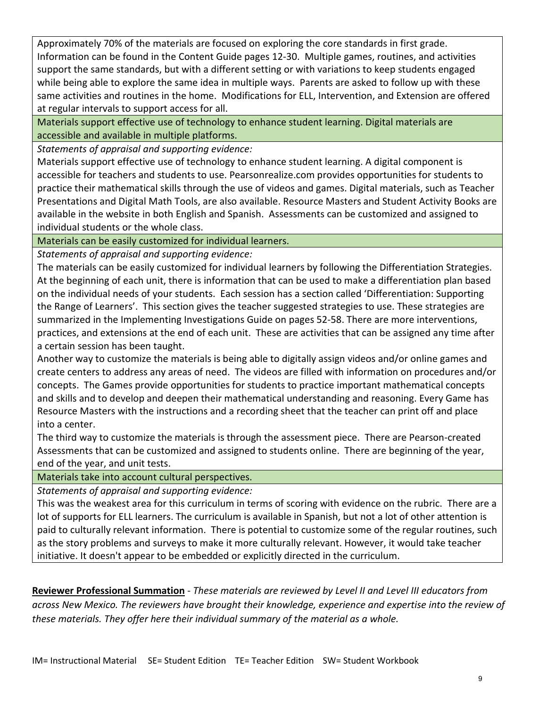Approximately 70% of the materials are focused on exploring the core standards in first grade. Information can be found in the Content Guide pages 12-30. Multiple games, routines, and activities support the same standards, but with a different setting or with variations to keep students engaged while being able to explore the same idea in multiple ways. Parents are asked to follow up with these same activities and routines in the home. Modifications for ELL, Intervention, and Extension are offered at regular intervals to support access for all.

Materials support effective use of technology to enhance student learning. Digital materials are accessible and available in multiple platforms.

*Statements of appraisal and supporting evidence:*

Materials support effective use of technology to enhance student learning. A digital component is accessible for teachers and students to use. Pearsonrealize.com provides opportunities for students to practice their mathematical skills through the use of videos and games. Digital materials, such as Teacher Presentations and Digital Math Tools, are also available. Resource Masters and Student Activity Books are available in the website in both English and Spanish. Assessments can be customized and assigned to individual students or the whole class.

Materials can be easily customized for individual learners.

*Statements of appraisal and supporting evidence:*

The materials can be easily customized for individual learners by following the Differentiation Strategies. At the beginning of each unit, there is information that can be used to make a differentiation plan based on the individual needs of your students. Each session has a section called 'Differentiation: Supporting the Range of Learners'. This section gives the teacher suggested strategies to use. These strategies are summarized in the Implementing Investigations Guide on pages 52-58. There are more interventions, practices, and extensions at the end of each unit. These are activities that can be assigned any time after a certain session has been taught.

Another way to customize the materials is being able to digitally assign videos and/or online games and create centers to address any areas of need. The videos are filled with information on procedures and/or concepts. The Games provide opportunities for students to practice important mathematical concepts and skills and to develop and deepen their mathematical understanding and reasoning. Every Game has Resource Masters with the instructions and a recording sheet that the teacher can print off and place into a center.

The third way to customize the materials is through the assessment piece. There are Pearson-created Assessments that can be customized and assigned to students online. There are beginning of the year, end of the year, and unit tests.

Materials take into account cultural perspectives.

*Statements of appraisal and supporting evidence:*

This was the weakest area for this curriculum in terms of scoring with evidence on the rubric. There are a lot of supports for ELL learners. The curriculum is available in Spanish, but not a lot of other attention is paid to culturally relevant information. There is potential to customize some of the regular routines, such as the story problems and surveys to make it more culturally relevant. However, it would take teacher initiative. It doesn't appear to be embedded or explicitly directed in the curriculum.

**Reviewer Professional Summation** - *These materials are reviewed by Level II and Level III educators from across New Mexico. The reviewers have brought their knowledge, experience and expertise into the review of these materials. They offer here their individual summary of the material as a whole.*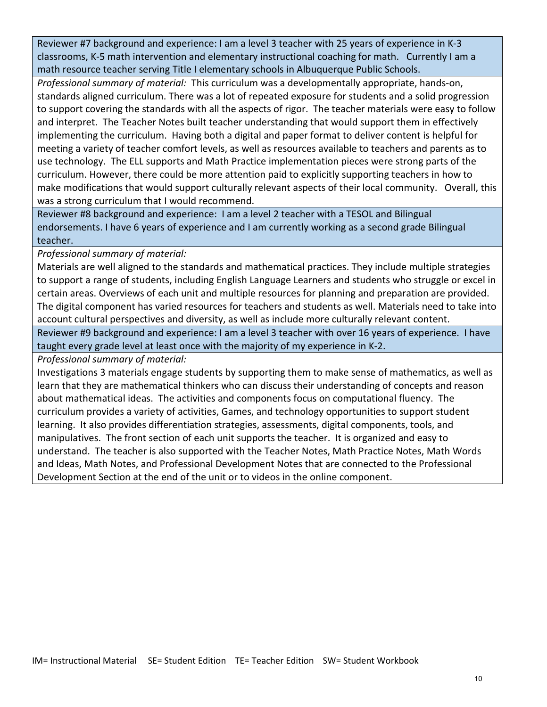Reviewer #7 background and experience: I am a level 3 teacher with 25 years of experience in K-3 classrooms, K-5 math intervention and elementary instructional coaching for math. Currently I am a math resource teacher serving Title I elementary schools in Albuquerque Public Schools.

*Professional summary of material:* This curriculum was a developmentally appropriate, hands-on, standards aligned curriculum. There was a lot of repeated exposure for students and a solid progression to support covering the standards with all the aspects of rigor. The teacher materials were easy to follow and interpret. The Teacher Notes built teacher understanding that would support them in effectively implementing the curriculum. Having both a digital and paper format to deliver content is helpful for meeting a variety of teacher comfort levels, as well as resources available to teachers and parents as to use technology. The ELL supports and Math Practice implementation pieces were strong parts of the curriculum. However, there could be more attention paid to explicitly supporting teachers in how to make modifications that would support culturally relevant aspects of their local community. Overall, this was a strong curriculum that I would recommend.

Reviewer #8 background and experience: I am a level 2 teacher with a TESOL and Bilingual endorsements. I have 6 years of experience and I am currently working as a second grade Bilingual teacher.

*Professional summary of material:*

Materials are well aligned to the standards and mathematical practices. They include multiple strategies to support a range of students, including English Language Learners and students who struggle or excel in certain areas. Overviews of each unit and multiple resources for planning and preparation are provided. The digital component has varied resources for teachers and students as well. Materials need to take into account cultural perspectives and diversity, as well as include more culturally relevant content.

Reviewer #9 background and experience: I am a level 3 teacher with over 16 years of experience. I have taught every grade level at least once with the majority of my experience in K-2.

*Professional summary of material:* 

Investigations 3 materials engage students by supporting them to make sense of mathematics, as well as learn that they are mathematical thinkers who can discuss their understanding of concepts and reason about mathematical ideas. The activities and components focus on computational fluency. The curriculum provides a variety of activities, Games, and technology opportunities to support student learning. It also provides differentiation strategies, assessments, digital components, tools, and manipulatives. The front section of each unit supports the teacher. It is organized and easy to understand. The teacher is also supported with the Teacher Notes, Math Practice Notes, Math Words and Ideas, Math Notes, and Professional Development Notes that are connected to the Professional Development Section at the end of the unit or to videos in the online component.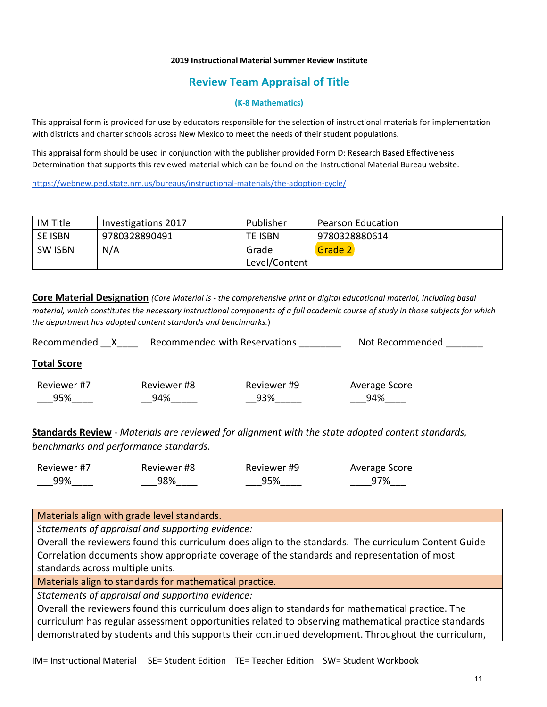## **Review Team Appraisal of Title**

#### **(K-8 Mathematics)**

This appraisal form is provided for use by educators responsible for the selection of instructional materials for implementation with districts and charter schools across New Mexico to meet the needs of their student populations.

This appraisal form should be used in conjunction with the publisher provided Form D: Research Based Effectiveness Determination that supports this reviewed material which can be found on the Instructional Material Bureau website.

<https://webnew.ped.state.nm.us/bureaus/instructional-materials/the-adoption-cycle/>

| IM Title       | Investigations 2017 | Publisher     | <b>Pearson Education</b> |
|----------------|---------------------|---------------|--------------------------|
| <b>SE ISBN</b> | 9780328890491       | TE ISBN       | 9780328880614            |
| <b>SW ISBN</b> | N/A                 | Grade         | Grade 2                  |
|                |                     | Level/Content |                          |

**Core Material Designation** *(Core Material is - the comprehensive print or digital educational material, including basal material, which constitutes the necessary instructional components of a full academic course of study in those subjects for which the department has adopted content standards and benchmarks.*)

Recommended X Recommended with Reservations Not Recommended Number

### **Total Score**

| Reviewer #7 | Reviewer #8 | Reviewer #9 | Average Score |
|-------------|-------------|-------------|---------------|
| 95%         | 94%         | 93%         | 94%           |

**Standards Review** - *Materials are reviewed for alignment with the state adopted content standards, benchmarks and performance standards.*

| Reviewer #7 | Reviewer #8 | Reviewer #9 | Average Score |
|-------------|-------------|-------------|---------------|
| 99%         | 98%         | 95%         | 97%           |

### Materials align with grade level standards.

*Statements of appraisal and supporting evidence:*

Overall the reviewers found this curriculum does align to the standards. The curriculum Content Guide Correlation documents show appropriate coverage of the standards and representation of most standards across multiple units.

Materials align to standards for mathematical practice.

*Statements of appraisal and supporting evidence:*

Overall the reviewers found this curriculum does align to standards for mathematical practice. The curriculum has regular assessment opportunities related to observing mathematical practice standards demonstrated by students and this supports their continued development. Throughout the curriculum,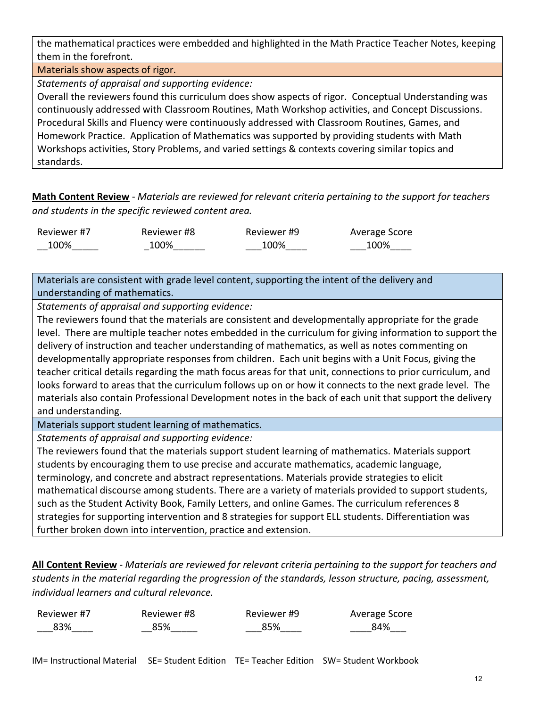the mathematical practices were embedded and highlighted in the Math Practice Teacher Notes, keeping them in the forefront.

Materials show aspects of rigor.

*Statements of appraisal and supporting evidence:*

Overall the reviewers found this curriculum does show aspects of rigor. Conceptual Understanding was continuously addressed with Classroom Routines, Math Workshop activities, and Concept Discussions. Procedural Skills and Fluency were continuously addressed with Classroom Routines, Games, and Homework Practice. Application of Mathematics was supported by providing students with Math Workshops activities, Story Problems, and varied settings & contexts covering similar topics and standards.

**Math Content Review** - *Materials are reviewed for relevant criteria pertaining to the support for teachers and students in the specific reviewed content area.*

| Reviewer #7 | Reviewer #8 | Reviewer #9 | Average Score |
|-------------|-------------|-------------|---------------|
| 100%        | 100%        | 100%        | 100%          |

Materials are consistent with grade level content, supporting the intent of the delivery and understanding of mathematics.

*Statements of appraisal and supporting evidence:*

The reviewers found that the materials are consistent and developmentally appropriate for the grade level. There are multiple teacher notes embedded in the curriculum for giving information to support the delivery of instruction and teacher understanding of mathematics, as well as notes commenting on developmentally appropriate responses from children. Each unit begins with a Unit Focus, giving the teacher critical details regarding the math focus areas for that unit, connections to prior curriculum, and looks forward to areas that the curriculum follows up on or how it connects to the next grade level. The materials also contain Professional Development notes in the back of each unit that support the delivery and understanding.

Materials support student learning of mathematics.

*Statements of appraisal and supporting evidence:*

The reviewers found that the materials support student learning of mathematics. Materials support students by encouraging them to use precise and accurate mathematics, academic language, terminology, and concrete and abstract representations. Materials provide strategies to elicit mathematical discourse among students. There are a variety of materials provided to support students, such as the Student Activity Book, Family Letters, and online Games. The curriculum references 8 strategies for supporting intervention and 8 strategies for support ELL students. Differentiation was further broken down into intervention, practice and extension.

**All Content Review** - *Materials are reviewed for relevant criteria pertaining to the support for teachers and students in the material regarding the progression of the standards, lesson structure, pacing, assessment, individual learners and cultural relevance.*

| Reviewer #7 | Reviewer #8 | Reviewer #9 | Average Score |
|-------------|-------------|-------------|---------------|
| 83%         | 85%         | 85%         | 84%           |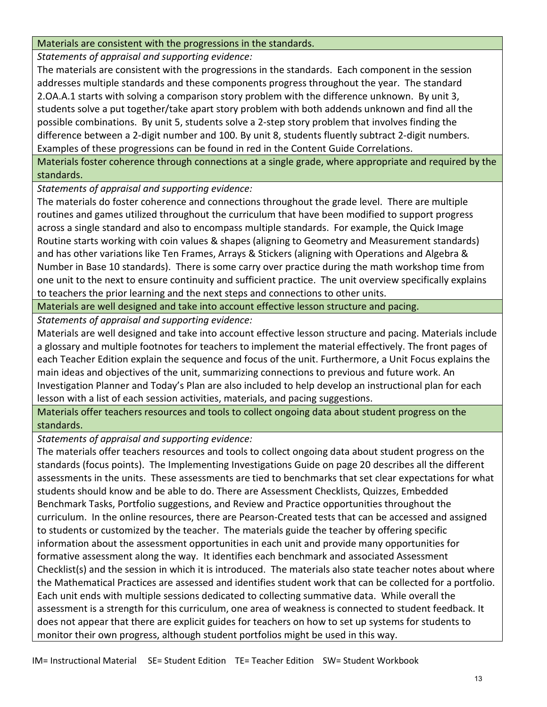### Materials are consistent with the progressions in the standards.

*Statements of appraisal and supporting evidence:*

The materials are consistent with the progressions in the standards. Each component in the session addresses multiple standards and these components progress throughout the year. The standard 2.OA.A.1 starts with solving a comparison story problem with the difference unknown. By unit 3, students solve a put together/take apart story problem with both addends unknown and find all the possible combinations. By unit 5, students solve a 2-step story problem that involves finding the difference between a 2-digit number and 100. By unit 8, students fluently subtract 2-digit numbers. Examples of these progressions can be found in red in the Content Guide Correlations.

Materials foster coherence through connections at a single grade, where appropriate and required by the standards.

*Statements of appraisal and supporting evidence:*

The materials do foster coherence and connections throughout the grade level. There are multiple routines and games utilized throughout the curriculum that have been modified to support progress across a single standard and also to encompass multiple standards. For example, the Quick Image Routine starts working with coin values & shapes (aligning to Geometry and Measurement standards) and has other variations like Ten Frames, Arrays & Stickers (aligning with Operations and Algebra & Number in Base 10 standards). There is some carry over practice during the math workshop time from one unit to the next to ensure continuity and sufficient practice. The unit overview specifically explains to teachers the prior learning and the next steps and connections to other units.

Materials are well designed and take into account effective lesson structure and pacing.

*Statements of appraisal and supporting evidence:*

Materials are well designed and take into account effective lesson structure and pacing. Materials include a glossary and multiple footnotes for teachers to implement the material effectively. The front pages of each Teacher Edition explain the sequence and focus of the unit. Furthermore, a Unit Focus explains the main ideas and objectives of the unit, summarizing connections to previous and future work. An Investigation Planner and Today's Plan are also included to help develop an instructional plan for each lesson with a list of each session activities, materials, and pacing suggestions.

Materials offer teachers resources and tools to collect ongoing data about student progress on the standards.

*Statements of appraisal and supporting evidence:*

The materials offer teachers resources and tools to collect ongoing data about student progress on the standards (focus points). The Implementing Investigations Guide on page 20 describes all the different assessments in the units. These assessments are tied to benchmarks that set clear expectations for what students should know and be able to do. There are Assessment Checklists, Quizzes, Embedded Benchmark Tasks, Portfolio suggestions, and Review and Practice opportunities throughout the curriculum. In the online resources, there are Pearson-Created tests that can be accessed and assigned to students or customized by the teacher. The materials guide the teacher by offering specific information about the assessment opportunities in each unit and provide many opportunities for formative assessment along the way. It identifies each benchmark and associated Assessment Checklist(s) and the session in which it is introduced. The materials also state teacher notes about where the Mathematical Practices are assessed and identifies student work that can be collected for a portfolio. Each unit ends with multiple sessions dedicated to collecting summative data. While overall the assessment is a strength for this curriculum, one area of weakness is connected to student feedback. It does not appear that there are explicit guides for teachers on how to set up systems for students to monitor their own progress, although student portfolios might be used in this way.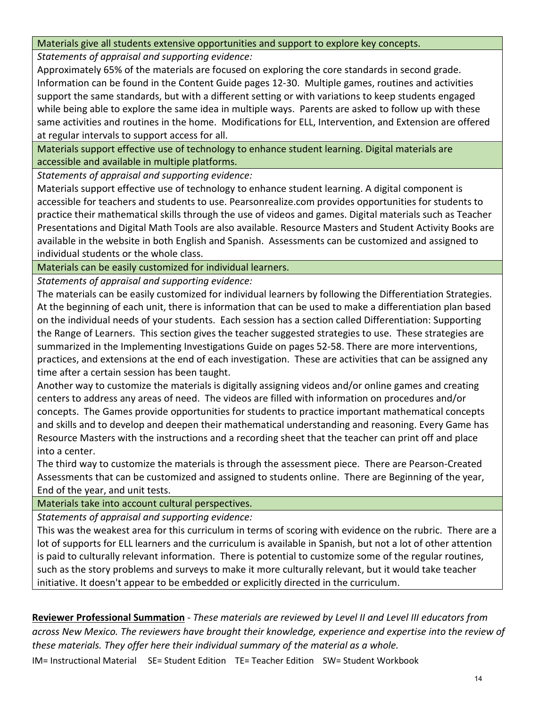### Materials give all students extensive opportunities and support to explore key concepts.

*Statements of appraisal and supporting evidence:*

Approximately 65% of the materials are focused on exploring the core standards in second grade. Information can be found in the Content Guide pages 12-30. Multiple games, routines and activities support the same standards, but with a different setting or with variations to keep students engaged while being able to explore the same idea in multiple ways. Parents are asked to follow up with these same activities and routines in the home. Modifications for ELL, Intervention, and Extension are offered at regular intervals to support access for all.

Materials support effective use of technology to enhance student learning. Digital materials are accessible and available in multiple platforms.

*Statements of appraisal and supporting evidence:*

Materials support effective use of technology to enhance student learning. A digital component is accessible for teachers and students to use. Pearsonrealize.com provides opportunities for students to practice their mathematical skills through the use of videos and games. Digital materials such as Teacher Presentations and Digital Math Tools are also available. Resource Masters and Student Activity Books are available in the website in both English and Spanish. Assessments can be customized and assigned to individual students or the whole class.

Materials can be easily customized for individual learners.

*Statements of appraisal and supporting evidence:*

The materials can be easily customized for individual learners by following the Differentiation Strategies. At the beginning of each unit, there is information that can be used to make a differentiation plan based on the individual needs of your students. Each session has a section called Differentiation: Supporting the Range of Learners. This section gives the teacher suggested strategies to use. These strategies are summarized in the Implementing Investigations Guide on pages 52-58. There are more interventions, practices, and extensions at the end of each investigation. These are activities that can be assigned any time after a certain session has been taught.

Another way to customize the materials is digitally assigning videos and/or online games and creating centers to address any areas of need. The videos are filled with information on procedures and/or concepts. The Games provide opportunities for students to practice important mathematical concepts and skills and to develop and deepen their mathematical understanding and reasoning. Every Game has Resource Masters with the instructions and a recording sheet that the teacher can print off and place into a center.

The third way to customize the materials is through the assessment piece. There are Pearson-Created Assessments that can be customized and assigned to students online. There are Beginning of the year, End of the year, and unit tests.

Materials take into account cultural perspectives.

*Statements of appraisal and supporting evidence:*

This was the weakest area for this curriculum in terms of scoring with evidence on the rubric. There are a lot of supports for ELL learners and the curriculum is available in Spanish, but not a lot of other attention is paid to culturally relevant information. There is potential to customize some of the regular routines, such as the story problems and surveys to make it more culturally relevant, but it would take teacher initiative. It doesn't appear to be embedded or explicitly directed in the curriculum.

**Reviewer Professional Summation** - *These materials are reviewed by Level II and Level III educators from across New Mexico. The reviewers have brought their knowledge, experience and expertise into the review of these materials. They offer here their individual summary of the material as a whole.*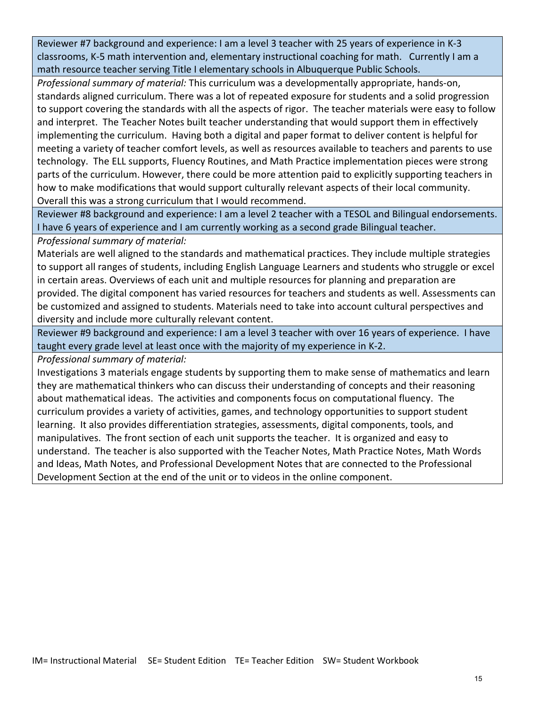Reviewer #7 background and experience: I am a level 3 teacher with 25 years of experience in K-3 classrooms, K-5 math intervention and, elementary instructional coaching for math. Currently I am a math resource teacher serving Title I elementary schools in Albuquerque Public Schools.

*Professional summary of material:* This curriculum was a developmentally appropriate, hands-on, standards aligned curriculum. There was a lot of repeated exposure for students and a solid progression to support covering the standards with all the aspects of rigor. The teacher materials were easy to follow and interpret. The Teacher Notes built teacher understanding that would support them in effectively implementing the curriculum. Having both a digital and paper format to deliver content is helpful for meeting a variety of teacher comfort levels, as well as resources available to teachers and parents to use technology. The ELL supports, Fluency Routines, and Math Practice implementation pieces were strong parts of the curriculum. However, there could be more attention paid to explicitly supporting teachers in how to make modifications that would support culturally relevant aspects of their local community. Overall this was a strong curriculum that I would recommend.

Reviewer #8 background and experience: I am a level 2 teacher with a TESOL and Bilingual endorsements. I have 6 years of experience and I am currently working as a second grade Bilingual teacher.

*Professional summary of material:*

Materials are well aligned to the standards and mathematical practices. They include multiple strategies to support all ranges of students, including English Language Learners and students who struggle or excel in certain areas. Overviews of each unit and multiple resources for planning and preparation are provided. The digital component has varied resources for teachers and students as well. Assessments can be customized and assigned to students. Materials need to take into account cultural perspectives and diversity and include more culturally relevant content.

Reviewer #9 background and experience: I am a level 3 teacher with over 16 years of experience. I have taught every grade level at least once with the majority of my experience in K-2.

*Professional summary of material:*

Investigations 3 materials engage students by supporting them to make sense of mathematics and learn they are mathematical thinkers who can discuss their understanding of concepts and their reasoning about mathematical ideas. The activities and components focus on computational fluency. The curriculum provides a variety of activities, games, and technology opportunities to support student learning. It also provides differentiation strategies, assessments, digital components, tools, and manipulatives. The front section of each unit supports the teacher. It is organized and easy to understand. The teacher is also supported with the Teacher Notes, Math Practice Notes, Math Words and Ideas, Math Notes, and Professional Development Notes that are connected to the Professional Development Section at the end of the unit or to videos in the online component.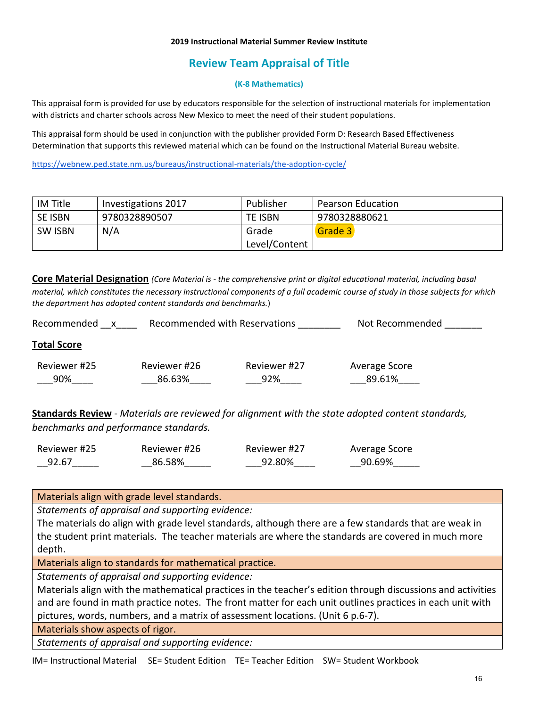# **Review Team Appraisal of Title**

### **(K-8 Mathematics)**

This appraisal form is provided for use by educators responsible for the selection of instructional materials for implementation with districts and charter schools across New Mexico to meet the need of their student populations.

This appraisal form should be used in conjunction with the publisher provided Form D: Research Based Effectiveness Determination that supports this reviewed material which can be found on the Instructional Material Bureau website.

<https://webnew.ped.state.nm.us/bureaus/instructional-materials/the-adoption-cycle/>

| IM Title       | Investigations 2017 | Publisher     | <b>Pearson Education</b> |
|----------------|---------------------|---------------|--------------------------|
| SE ISBN        | 9780328890507       | TE ISBN       | 9780328880621            |
| <b>SW ISBN</b> | N/A                 | Grade         | Grade 3                  |
|                |                     | Level/Content |                          |

**Core Material Designation** *(Core Material is - the comprehensive print or digital educational material, including basal material, which constitutes the necessary instructional components of a full academic course of study in those subjects for which the department has adopted content standards and benchmarks.*)

| Recommended<br>X    | Recommended with Reservations |                     | Not Recommended         |
|---------------------|-------------------------------|---------------------|-------------------------|
| <b>Total Score</b>  |                               |                     |                         |
| Reviewer #25<br>90% | Reviewer #26<br>86.63%        | Reviewer #27<br>92% | Average Score<br>89.61% |

**Standards Review** - *Materials are reviewed for alignment with the state adopted content standards, benchmarks and performance standards.*

| Reviewer #25 | Reviewer #26 | Reviewer #27 | Average Score |
|--------------|--------------|--------------|---------------|
| 92.67        | 86.58%       | 92.80%       | 90.69%        |

Materials align with grade level standards.

*Statements of appraisal and supporting evidence:*

The materials do align with grade level standards, although there are a few standards that are weak in the student print materials. The teacher materials are where the standards are covered in much more depth.

Materials align to standards for mathematical practice.

*Statements of appraisal and supporting evidence:*

Materials align with the mathematical practices in the teacher's edition through discussions and activities and are found in math practice notes. The front matter for each unit outlines practices in each unit with pictures, words, numbers, and a matrix of assessment locations. (Unit 6 p.6-7).

Materials show aspects of rigor.

*Statements of appraisal and supporting evidence:*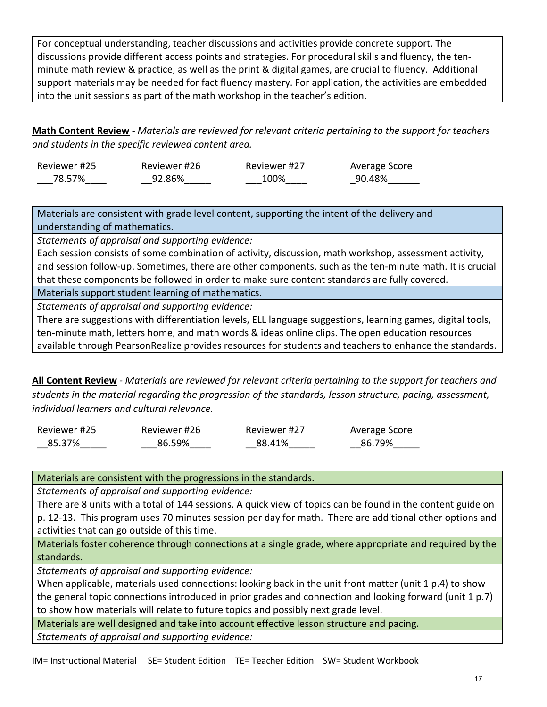For conceptual understanding, teacher discussions and activities provide concrete support. The discussions provide different access points and strategies. For procedural skills and fluency, the tenminute math review & practice, as well as the print & digital games, are crucial to fluency. Additional support materials may be needed for fact fluency mastery. For application, the activities are embedded into the unit sessions as part of the math workshop in the teacher's edition.

**Math Content Review** - *Materials are reviewed for relevant criteria pertaining to the support for teachers and students in the specific reviewed content area.*

| Reviewer #25 | Reviewer #26 | Reviewer #27 | Average Score |
|--------------|--------------|--------------|---------------|
| 78.57%       | 92.86%       | 100%         | 90.48%        |

Materials are consistent with grade level content, supporting the intent of the delivery and understanding of mathematics.

*Statements of appraisal and supporting evidence:*

Each session consists of some combination of activity, discussion, math workshop, assessment activity, and session follow-up. Sometimes, there are other components, such as the ten-minute math. It is crucial that these components be followed in order to make sure content standards are fully covered.

Materials support student learning of mathematics.

*Statements of appraisal and supporting evidence:*

There are suggestions with differentiation levels, ELL language suggestions, learning games, digital tools, ten-minute math, letters home, and math words & ideas online clips. The open education resources available through PearsonRealize provides resources for students and teachers to enhance the standards.

**All Content Review** - *Materials are reviewed for relevant criteria pertaining to the support for teachers and students in the material regarding the progression of the standards, lesson structure, pacing, assessment, individual learners and cultural relevance.*

| Reviewer #25 | Reviewer #26 | Reviewer #27 | Average Score |
|--------------|--------------|--------------|---------------|
| 85.37%       | 86.59%       | 88.41%       | 86.79%        |

Materials are consistent with the progressions in the standards.

*Statements of appraisal and supporting evidence:*

There are 8 units with a total of 144 sessions. A quick view of topics can be found in the content guide on p. 12-13. This program uses 70 minutes session per day for math. There are additional other options and activities that can go outside of this time.

Materials foster coherence through connections at a single grade, where appropriate and required by the standards.

*Statements of appraisal and supporting evidence:*

When applicable, materials used connections: looking back in the unit front matter (unit 1 p.4) to show the general topic connections introduced in prior grades and connection and looking forward (unit 1 p.7) to show how materials will relate to future topics and possibly next grade level.

Materials are well designed and take into account effective lesson structure and pacing.

*Statements of appraisal and supporting evidence:*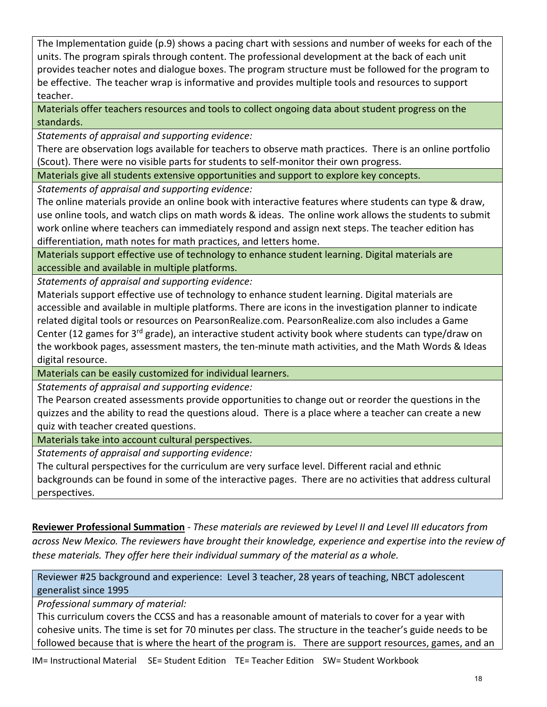The Implementation guide (p.9) shows a pacing chart with sessions and number of weeks for each of the units. The program spirals through content. The professional development at the back of each unit provides teacher notes and dialogue boxes. The program structure must be followed for the program to be effective. The teacher wrap is informative and provides multiple tools and resources to support teacher.

Materials offer teachers resources and tools to collect ongoing data about student progress on the standards.

*Statements of appraisal and supporting evidence:*

There are observation logs available for teachers to observe math practices. There is an online portfolio (Scout). There were no visible parts for students to self-monitor their own progress.

Materials give all students extensive opportunities and support to explore key concepts.

*Statements of appraisal and supporting evidence:*

The online materials provide an online book with interactive features where students can type & draw, use online tools, and watch clips on math words & ideas. The online work allows the students to submit work online where teachers can immediately respond and assign next steps. The teacher edition has differentiation, math notes for math practices, and letters home.

Materials support effective use of technology to enhance student learning. Digital materials are accessible and available in multiple platforms.

*Statements of appraisal and supporting evidence:*

Materials support effective use of technology to enhance student learning. Digital materials are accessible and available in multiple platforms. There are icons in the investigation planner to indicate related digital tools or resources on PearsonRealize.com. PearsonRealize.com also includes a Game Center (12 games for 3rd grade), an interactive student activity book where students can type/draw on the workbook pages, assessment masters, the ten-minute math activities, and the Math Words & Ideas digital resource.

Materials can be easily customized for individual learners.

*Statements of appraisal and supporting evidence:*

The Pearson created assessments provide opportunities to change out or reorder the questions in the quizzes and the ability to read the questions aloud. There is a place where a teacher can create a new quiz with teacher created questions.

Materials take into account cultural perspectives.

*Statements of appraisal and supporting evidence:*

The cultural perspectives for the curriculum are very surface level. Different racial and ethnic backgrounds can be found in some of the interactive pages. There are no activities that address cultural perspectives.

**Reviewer Professional Summation** - *These materials are reviewed by Level II and Level III educators from across New Mexico. The reviewers have brought their knowledge, experience and expertise into the review of these materials. They offer here their individual summary of the material as a whole.* 

Reviewer #25 background and experience: Level 3 teacher, 28 years of teaching, NBCT adolescent generalist since 1995

*Professional summary of material:*

This curriculum covers the CCSS and has a reasonable amount of materials to cover for a year with cohesive units. The time is set for 70 minutes per class. The structure in the teacher's guide needs to be followed because that is where the heart of the program is. There are support resources, games, and an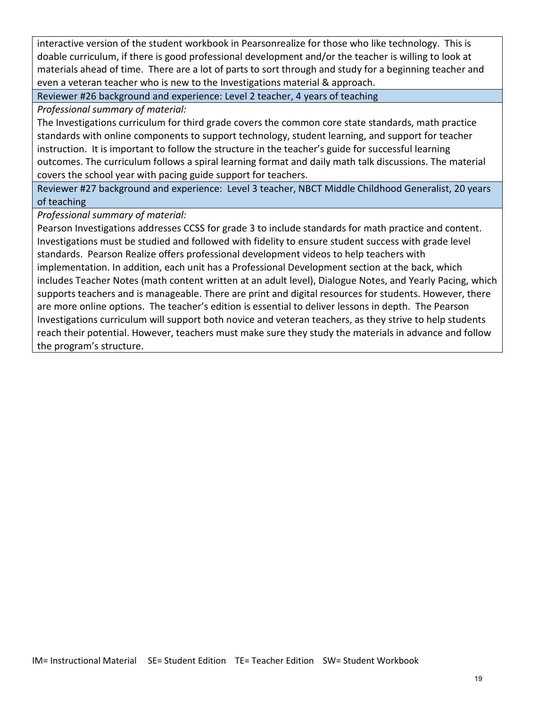interactive version of the student workbook in Pearsonrealize for those who like technology. This is doable curriculum, if there is good professional development and/or the teacher is willing to look at materials ahead of time. There are a lot of parts to sort through and study for a beginning teacher and even a veteran teacher who is new to the Investigations material & approach.

Reviewer #26 background and experience: Level 2 teacher, 4 years of teaching

*Professional summary of material:*

The Investigations curriculum for third grade covers the common core state standards, math practice standards with online components to support technology, student learning, and support for teacher instruction. It is important to follow the structure in the teacher's guide for successful learning outcomes. The curriculum follows a spiral learning format and daily math talk discussions. The material covers the school year with pacing guide support for teachers.

Reviewer #27 background and experience: Level 3 teacher, NBCT Middle Childhood Generalist, 20 years of teaching

*Professional summary of material:*

Pearson Investigations addresses CCSS for grade 3 to include standards for math practice and content. Investigations must be studied and followed with fidelity to ensure student success with grade level standards. Pearson Realize offers professional development videos to help teachers with implementation. In addition, each unit has a Professional Development section at the back, which includes Teacher Notes (math content written at an adult level), Dialogue Notes, and Yearly Pacing, which supports teachers and is manageable. There are print and digital resources for students. However, there are more online options. The teacher's edition is essential to deliver lessons in depth. The Pearson Investigations curriculum will support both novice and veteran teachers, as they strive to help students reach their potential. However, teachers must make sure they study the materials in advance and follow the program's structure.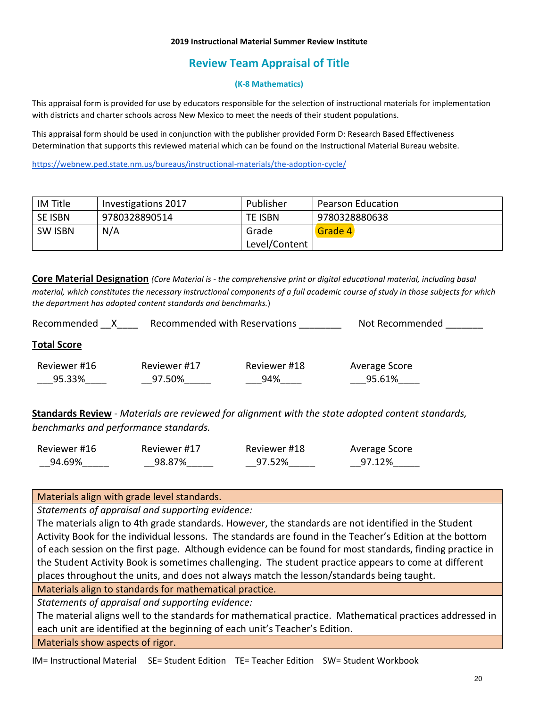# **Review Team Appraisal of Title**

### **(K-8 Mathematics)**

This appraisal form is provided for use by educators responsible for the selection of instructional materials for implementation with districts and charter schools across New Mexico to meet the needs of their student populations.

This appraisal form should be used in conjunction with the publisher provided Form D: Research Based Effectiveness Determination that supports this reviewed material which can be found on the Instructional Material Bureau website.

<https://webnew.ped.state.nm.us/bureaus/instructional-materials/the-adoption-cycle/>

| IM Title       | Investigations 2017 | Publisher      | <b>Pearson Education</b> |
|----------------|---------------------|----------------|--------------------------|
| <b>SE ISBN</b> | 9780328890514       | <b>TE ISBN</b> | 9780328880638            |
| <b>SW ISBN</b> | N/A                 | Grade          | Grade 4                  |
|                |                     | Level/Content  |                          |

**Core Material Designation** *(Core Material is - the comprehensive print or digital educational material, including basal material, which constitutes the necessary instructional components of a full academic course of study in those subjects for which the department has adopted content standards and benchmarks.*)

| Recommended            |                        | Recommended with Reservations | Not Recommended         |
|------------------------|------------------------|-------------------------------|-------------------------|
| <b>Total Score</b>     |                        |                               |                         |
| Reviewer #16<br>95.33% | Reviewer #17<br>97.50% | Reviewer #18<br>94%           | Average Score<br>95.61% |

**Standards Review** - *Materials are reviewed for alignment with the state adopted content standards, benchmarks and performance standards.*

| Reviewer #16 | Reviewer #17 | Reviewer #18 | Average Score |
|--------------|--------------|--------------|---------------|
| 94.69%       | 98.87%       | 97.52%       | 97.12%        |

Materials align with grade level standards.

*Statements of appraisal and supporting evidence:*

The materials align to 4th grade standards. However, the standards are not identified in the Student Activity Book for the individual lessons. The standards are found in the Teacher's Edition at the bottom of each session on the first page. Although evidence can be found for most standards, finding practice in the Student Activity Book is sometimes challenging. The student practice appears to come at different places throughout the units, and does not always match the lesson/standards being taught.

Materials align to standards for mathematical practice.

*Statements of appraisal and supporting evidence:*

The material aligns well to the standards for mathematical practice. Mathematical practices addressed in each unit are identified at the beginning of each unit's Teacher's Edition.

Materials show aspects of rigor.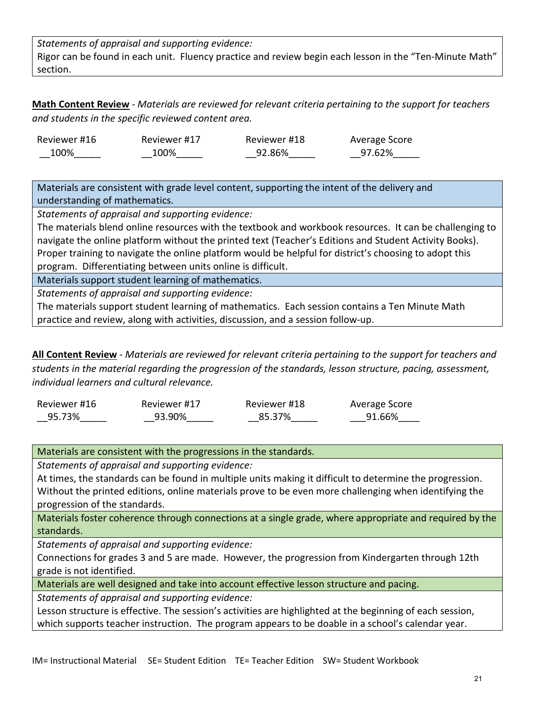*Statements of appraisal and supporting evidence:* Rigor can be found in each unit. Fluency practice and review begin each lesson in the "Ten-Minute Math" section.

**Math Content Review** - *Materials are reviewed for relevant criteria pertaining to the support for teachers and students in the specific reviewed content area.*

| Reviewer #16 | Reviewer #17 | Reviewer #18 | Average Score |
|--------------|--------------|--------------|---------------|
| 100%         | 100%         | 92.86%       | 97.62%        |

Materials are consistent with grade level content, supporting the intent of the delivery and understanding of mathematics.

*Statements of appraisal and supporting evidence:*

The materials blend online resources with the textbook and workbook resources. It can be challenging to navigate the online platform without the printed text (Teacher's Editions and Student Activity Books). Proper training to navigate the online platform would be helpful for district's choosing to adopt this program. Differentiating between units online is difficult.

Materials support student learning of mathematics.

*Statements of appraisal and supporting evidence:*

The materials support student learning of mathematics. Each session contains a Ten Minute Math practice and review, along with activities, discussion, and a session follow-up.

**All Content Review** - *Materials are reviewed for relevant criteria pertaining to the support for teachers and students in the material regarding the progression of the standards, lesson structure, pacing, assessment, individual learners and cultural relevance.*

| Reviewer #16 | Reviewer #17 | Reviewer #18 | Average Score |
|--------------|--------------|--------------|---------------|
| 95.73%       | 93.90%       | 85.37%       | 91.66%        |

Materials are consistent with the progressions in the standards.

*Statements of appraisal and supporting evidence:*

At times, the standards can be found in multiple units making it difficult to determine the progression. Without the printed editions, online materials prove to be even more challenging when identifying the progression of the standards.

Materials foster coherence through connections at a single grade, where appropriate and required by the standards.

*Statements of appraisal and supporting evidence:*

Connections for grades 3 and 5 are made. However, the progression from Kindergarten through 12th grade is not identified.

Materials are well designed and take into account effective lesson structure and pacing.

*Statements of appraisal and supporting evidence:*

Lesson structure is effective. The session's activities are highlighted at the beginning of each session, which supports teacher instruction. The program appears to be doable in a school's calendar year.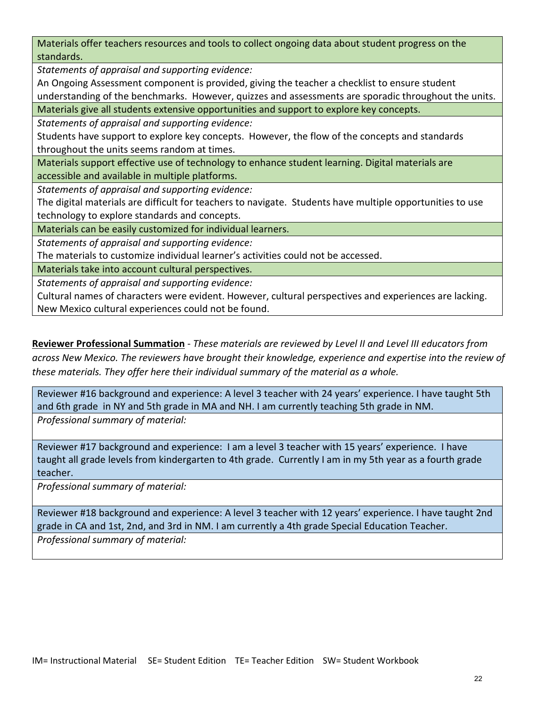Materials offer teachers resources and tools to collect ongoing data about student progress on the standards.

*Statements of appraisal and supporting evidence:*

An Ongoing Assessment component is provided, giving the teacher a checklist to ensure student understanding of the benchmarks. However, quizzes and assessments are sporadic throughout the units.

Materials give all students extensive opportunities and support to explore key concepts.

*Statements of appraisal and supporting evidence:*

Students have support to explore key concepts. However, the flow of the concepts and standards throughout the units seems random at times.

Materials support effective use of technology to enhance student learning. Digital materials are accessible and available in multiple platforms.

*Statements of appraisal and supporting evidence:*

The digital materials are difficult for teachers to navigate. Students have multiple opportunities to use technology to explore standards and concepts.

Materials can be easily customized for individual learners.

*Statements of appraisal and supporting evidence:*

The materials to customize individual learner's activities could not be accessed.

Materials take into account cultural perspectives.

*Statements of appraisal and supporting evidence:*

Cultural names of characters were evident. However, cultural perspectives and experiences are lacking. New Mexico cultural experiences could not be found.

**Reviewer Professional Summation** - *These materials are reviewed by Level II and Level III educators from across New Mexico. The reviewers have brought their knowledge, experience and expertise into the review of these materials. They offer here their individual summary of the material as a whole.* 

Reviewer #16 background and experience: A level 3 teacher with 24 years' experience. I have taught 5th and 6th grade in NY and 5th grade in MA and NH. I am currently teaching 5th grade in NM. *Professional summary of material:* 

Reviewer #17 background and experience: I am a level 3 teacher with 15 years' experience. I have taught all grade levels from kindergarten to 4th grade. Currently I am in my 5th year as a fourth grade teacher.

*Professional summary of material:*

Reviewer #18 background and experience: A level 3 teacher with 12 years' experience. I have taught 2nd grade in CA and 1st, 2nd, and 3rd in NM. I am currently a 4th grade Special Education Teacher. *Professional summary of material:*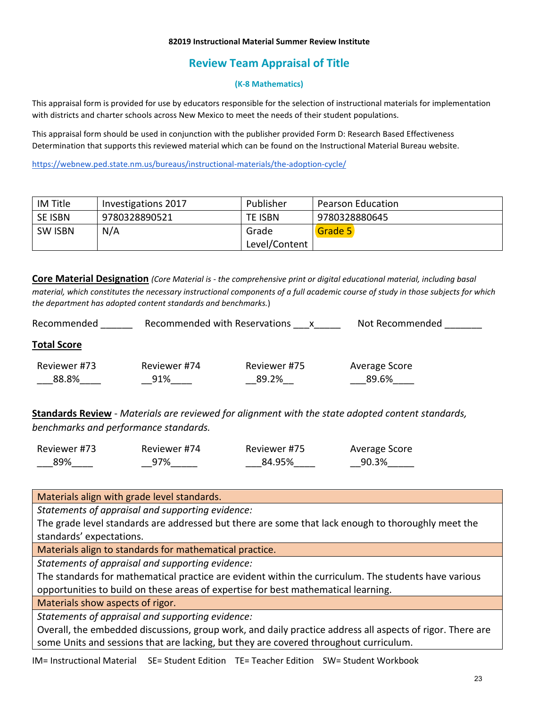# **Review Team Appraisal of Title**

### **(K-8 Mathematics)**

This appraisal form is provided for use by educators responsible for the selection of instructional materials for implementation with districts and charter schools across New Mexico to meet the needs of their student populations.

This appraisal form should be used in conjunction with the publisher provided Form D: Research Based Effectiveness Determination that supports this reviewed material which can be found on the Instructional Material Bureau website.

<https://webnew.ped.state.nm.us/bureaus/instructional-materials/the-adoption-cycle/>

| IM Title       | Investigations 2017 | Publisher     | <b>Pearson Education</b> |
|----------------|---------------------|---------------|--------------------------|
| <b>SE ISBN</b> | 9780328890521       | TE ISBN       | 9780328880645            |
| <b>SW ISBN</b> | N/A                 | Grade         | Grade 5                  |
|                |                     | Level/Content |                          |

**Core Material Designation** *(Core Material is - the comprehensive print or digital educational material, including basal material, which constitutes the necessary instructional components of a full academic course of study in those subjects for which the department has adopted content standards and benchmarks.*)

| Recommended           | Recommended with Reservations | x                     | Not Recommended        |
|-----------------------|-------------------------------|-----------------------|------------------------|
| <b>Total Score</b>    |                               |                       |                        |
| Reviewer #73<br>88.8% | Reviewer #74<br>91%           | Reviewer #75<br>89.2% | Average Score<br>89.6% |

**Standards Review** - *Materials are reviewed for alignment with the state adopted content standards, benchmarks and performance standards.*

| Reviewer #73 | Reviewer #74 | Reviewer #75 | Average Score |
|--------------|--------------|--------------|---------------|
| 89%          | 97%          | 84.95%       | 90.3%         |

Materials align with grade level standards.

*Statements of appraisal and supporting evidence:*

The grade level standards are addressed but there are some that lack enough to thoroughly meet the standards' expectations.

Materials align to standards for mathematical practice.

*Statements of appraisal and supporting evidence:*

The standards for mathematical practice are evident within the curriculum. The students have various opportunities to build on these areas of expertise for best mathematical learning.

Materials show aspects of rigor.

*Statements of appraisal and supporting evidence:*

Overall, the embedded discussions, group work, and daily practice address all aspects of rigor. There are some Units and sessions that are lacking, but they are covered throughout curriculum.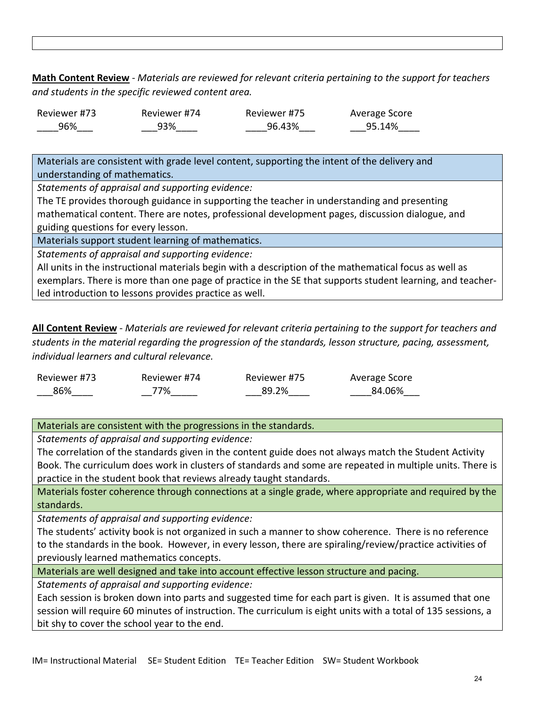**Math Content Review** - *Materials are reviewed for relevant criteria pertaining to the support for teachers and students in the specific reviewed content area.*

| Reviewer #73 | Reviewer #74 | Reviewer #75 | Average Score |
|--------------|--------------|--------------|---------------|
| 96%          | 93%          | 96.43%       | 95.14%        |

Materials are consistent with grade level content, supporting the intent of the delivery and understanding of mathematics.

*Statements of appraisal and supporting evidence:*

The TE provides thorough guidance in supporting the teacher in understanding and presenting mathematical content. There are notes, professional development pages, discussion dialogue, and guiding questions for every lesson.

Materials support student learning of mathematics.

*Statements of appraisal and supporting evidence:*

All units in the instructional materials begin with a description of the mathematical focus as well as exemplars. There is more than one page of practice in the SE that supports student learning, and teacherled introduction to lessons provides practice as well.

**All Content Review** - *Materials are reviewed for relevant criteria pertaining to the support for teachers and students in the material regarding the progression of the standards, lesson structure, pacing, assessment, individual learners and cultural relevance.*

| Reviewer #73 | Reviewer #74 | Reviewer #75 | Average Score |
|--------------|--------------|--------------|---------------|
| 86%          | 77%          | 89.2%        | 84.06%        |

Materials are consistent with the progressions in the standards.

*Statements of appraisal and supporting evidence:*

The correlation of the standards given in the content guide does not always match the Student Activity Book. The curriculum does work in clusters of standards and some are repeated in multiple units. There is practice in the student book that reviews already taught standards.

Materials foster coherence through connections at a single grade, where appropriate and required by the standards.

*Statements of appraisal and supporting evidence:*

The students' activity book is not organized in such a manner to show coherence. There is no reference to the standards in the book. However, in every lesson, there are spiraling/review/practice activities of previously learned mathematics concepts.

Materials are well designed and take into account effective lesson structure and pacing.

*Statements of appraisal and supporting evidence:*

Each session is broken down into parts and suggested time for each part is given. It is assumed that one session will require 60 minutes of instruction. The curriculum is eight units with a total of 135 sessions, a bit shy to cover the school year to the end.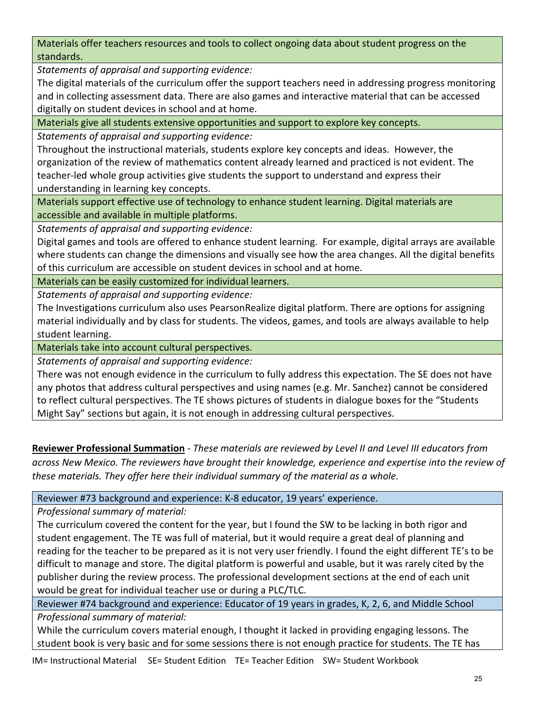Materials offer teachers resources and tools to collect ongoing data about student progress on the standards.

*Statements of appraisal and supporting evidence:*

The digital materials of the curriculum offer the support teachers need in addressing progress monitoring and in collecting assessment data. There are also games and interactive material that can be accessed digitally on student devices in school and at home.

Materials give all students extensive opportunities and support to explore key concepts.

*Statements of appraisal and supporting evidence:*

Throughout the instructional materials, students explore key concepts and ideas. However, the organization of the review of mathematics content already learned and practiced is not evident. The teacher-led whole group activities give students the support to understand and express their understanding in learning key concepts.

Materials support effective use of technology to enhance student learning. Digital materials are accessible and available in multiple platforms.

*Statements of appraisal and supporting evidence:*

Digital games and tools are offered to enhance student learning. For example, digital arrays are available where students can change the dimensions and visually see how the area changes. All the digital benefits of this curriculum are accessible on student devices in school and at home.

Materials can be easily customized for individual learners.

*Statements of appraisal and supporting evidence:*

The Investigations curriculum also uses PearsonRealize digital platform. There are options for assigning material individually and by class for students. The videos, games, and tools are always available to help student learning.

Materials take into account cultural perspectives.

*Statements of appraisal and supporting evidence:*

There was not enough evidence in the curriculum to fully address this expectation. The SE does not have any photos that address cultural perspectives and using names (e.g. Mr. Sanchez) cannot be considered to reflect cultural perspectives. The TE shows pictures of students in dialogue boxes for the "Students Might Say" sections but again, it is not enough in addressing cultural perspectives.

**Reviewer Professional Summation** - *These materials are reviewed by Level II and Level III educators from across New Mexico. The reviewers have brought their knowledge, experience and expertise into the review of these materials. They offer here their individual summary of the material as a whole.* 

Reviewer #73 background and experience: K-8 educator, 19 years' experience.

*Professional summary of material:*

The curriculum covered the content for the year, but I found the SW to be lacking in both rigor and student engagement. The TE was full of material, but it would require a great deal of planning and reading for the teacher to be prepared as it is not very user friendly. I found the eight different TE's to be difficult to manage and store. The digital platform is powerful and usable, but it was rarely cited by the publisher during the review process. The professional development sections at the end of each unit would be great for individual teacher use or during a PLC/TLC.

Reviewer #74 background and experience: Educator of 19 years in grades, K, 2, 6, and Middle School *Professional summary of material:*

While the curriculum covers material enough, I thought it lacked in providing engaging lessons. The student book is very basic and for some sessions there is not enough practice for students. The TE has